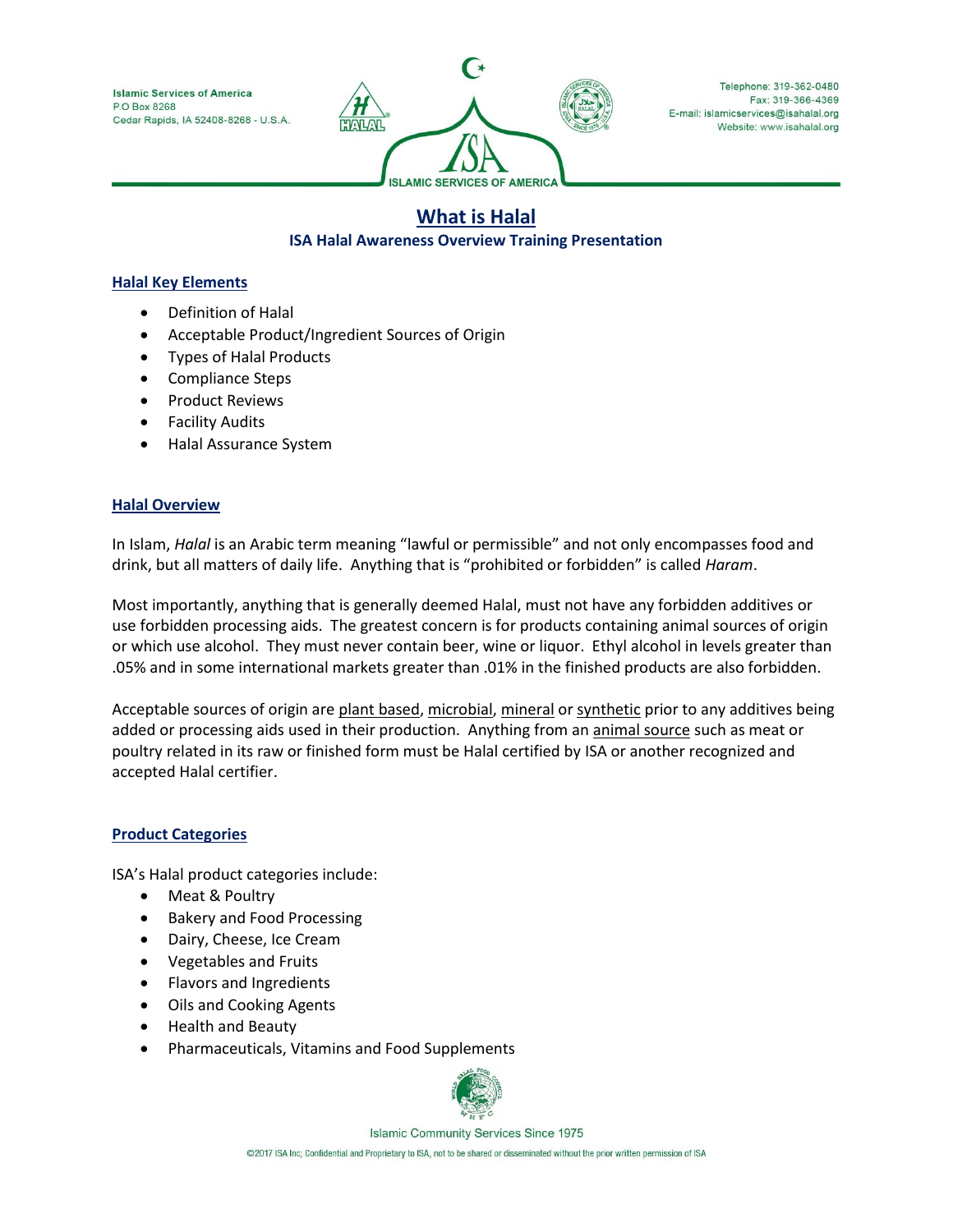**Islamic Services of America** P.O. Box 8268 Cedar Rapids, IA 52408-8268 - U.S.A.



Telephone: 319-362-0480 Fax: 319-366-4369 E-mail: islamicservices@isahalal.org Website: www.isahalal.org

# **What is Halal**

## **ISA Halal Awareness Overview Training Presentation**

### **Halal Key Elements**

- Definition of Halal
- Acceptable Product/Ingredient Sources of Origin
- Types of Halal Products
- Compliance Steps
- Product Reviews
- Facility Audits
- Halal Assurance System

### **Halal Overview**

In Islam, *Halal* is an Arabic term meaning "lawful or permissible" and not only encompasses food and drink, but all matters of daily life. Anything that is "prohibited or forbidden" is called *Haram*.

Most importantly, anything that is generally deemed Halal, must not have any forbidden additives or use forbidden processing aids. The greatest concern is for products containing animal sources of origin or which use alcohol. They must never contain beer, wine or liquor. Ethyl alcohol in levels greater than .05% and in some international markets greater than .01% in the finished products are also forbidden.

Acceptable sources of origin are plant based, microbial, mineral or synthetic prior to any additives being added or processing aids used in their production. Anything from an animal source such as meat or poultry related in its raw or finished form must be Halal certified by ISA or another recognized and accepted Halal certifier.

# **Product Categories**

ISA's Halal product categories include:

- Meat & Poultry
- Bakery and Food Processing
- Dairy, Cheese, Ice Cream
- Vegetables and Fruits
- Flavors and Ingredients
- Oils and Cooking Agents
- Health and Beauty
- Pharmaceuticals, Vitamins and Food Supplements



**Islamic Community Services Since 1975** 

@2017 ISA Inc; Confidential and Proprietary to ISA, not to be shared or disseminated without the prior written permission of ISA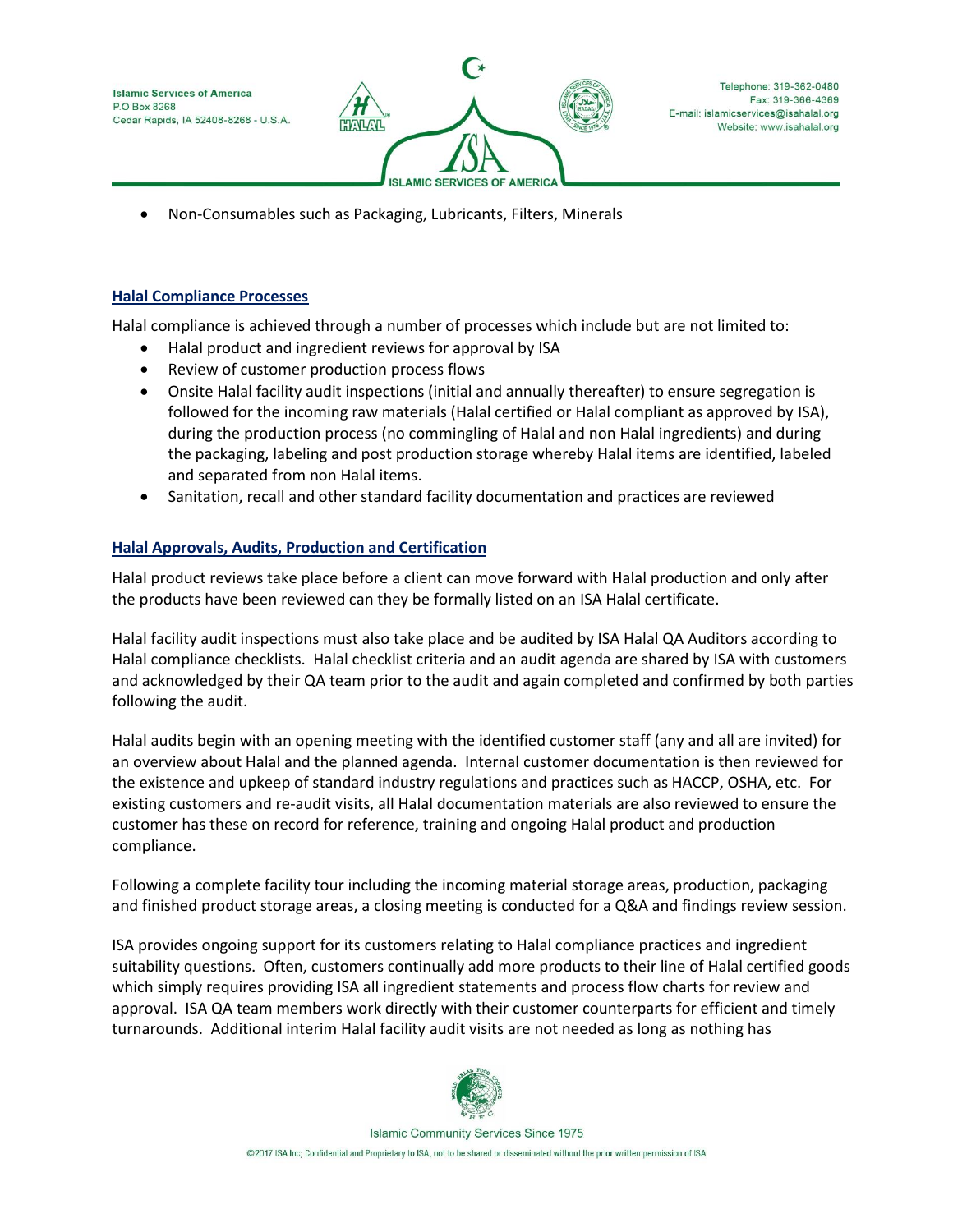**Islamic Services of America** P.O Box 8268 Cedar Rapids, IA 52408-8268 - U.S.A



Telephone: 319-362-0480 Fax: 319-366-4369 E-mail: islamicservices@isahalal.org Website: www.isahalal.org

• Non-Consumables such as Packaging, Lubricants, Filters, Minerals

### **Halal Compliance Processes**

Halal compliance is achieved through a number of processes which include but are not limited to:

- Halal product and ingredient reviews for approval by ISA
- Review of customer production process flows
- Onsite Halal facility audit inspections (initial and annually thereafter) to ensure segregation is followed for the incoming raw materials (Halal certified or Halal compliant as approved by ISA), during the production process (no commingling of Halal and non Halal ingredients) and during the packaging, labeling and post production storage whereby Halal items are identified, labeled and separated from non Halal items.
- Sanitation, recall and other standard facility documentation and practices are reviewed

# **Halal Approvals, Audits, Production and Certification**

Halal product reviews take place before a client can move forward with Halal production and only after the products have been reviewed can they be formally listed on an ISA Halal certificate.

Halal facility audit inspections must also take place and be audited by ISA Halal QA Auditors according to Halal compliance checklists. Halal checklist criteria and an audit agenda are shared by ISA with customers and acknowledged by their QA team prior to the audit and again completed and confirmed by both parties following the audit.

Halal audits begin with an opening meeting with the identified customer staff (any and all are invited) for an overview about Halal and the planned agenda. Internal customer documentation is then reviewed for the existence and upkeep of standard industry regulations and practices such as HACCP, OSHA, etc. For existing customers and re-audit visits, all Halal documentation materials are also reviewed to ensure the customer has these on record for reference, training and ongoing Halal product and production compliance.

Following a complete facility tour including the incoming material storage areas, production, packaging and finished product storage areas, a closing meeting is conducted for a Q&A and findings review session.

ISA provides ongoing support for its customers relating to Halal compliance practices and ingredient suitability questions. Often, customers continually add more products to their line of Halal certified goods which simply requires providing ISA all ingredient statements and process flow charts for review and approval. ISA QA team members work directly with their customer counterparts for efficient and timely turnarounds. Additional interim Halal facility audit visits are not needed as long as nothing has



**Islamic Community Services Since 1975** @2017 ISA Inc; Confidential and Proprietary to ISA, not to be shared or disseminated without the prior written permission of ISA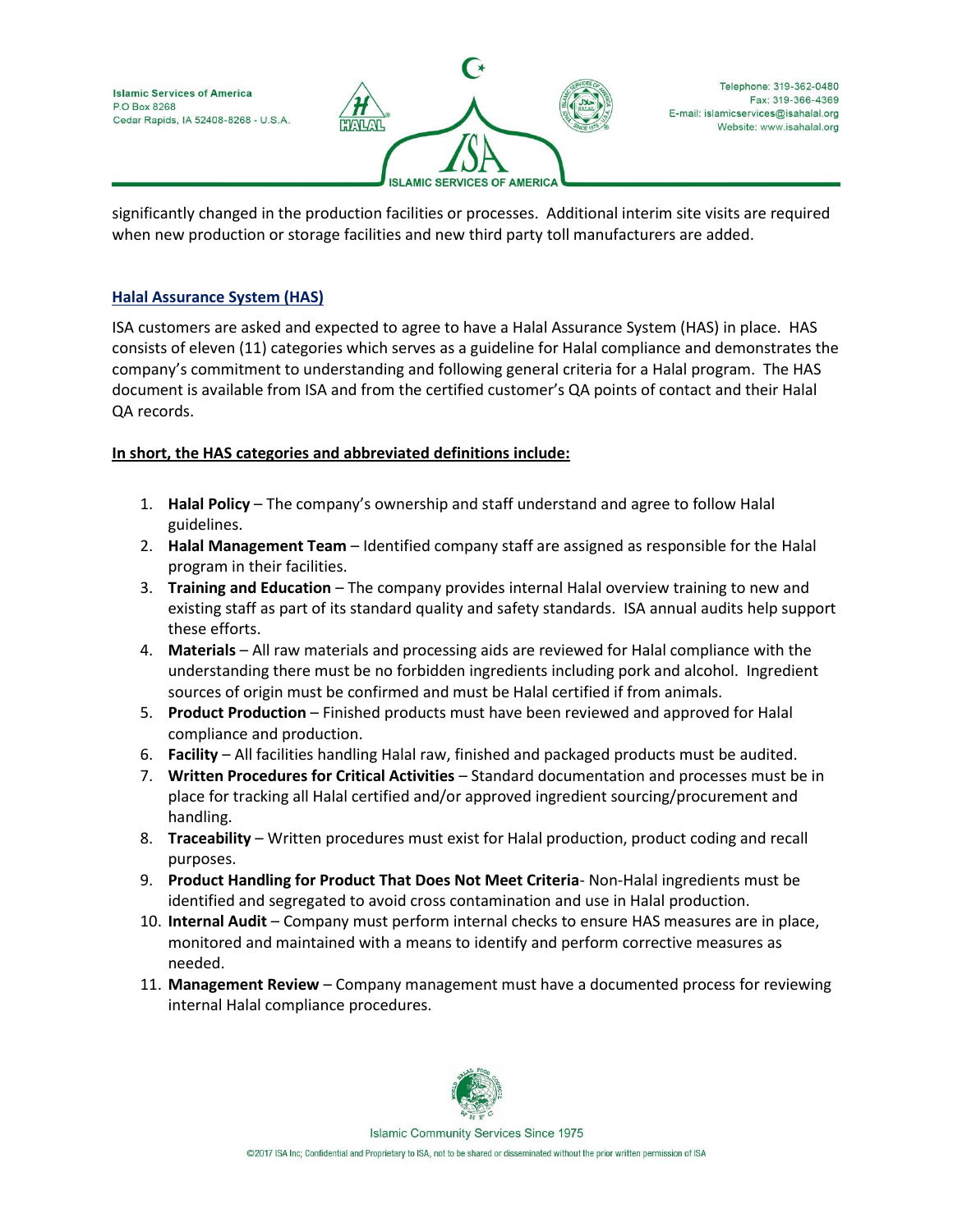**Islamic Services of America** P.O Box 8268 Cedar Rapids, IA 52408-8268 - U.S.A



Telephone: 319-362-0480 Fax: 319-366-4369 E-mail: islamicservices@isahalal.org Website: www.isahalal.org

significantly changed in the production facilities or processes. Additional interim site visits are required when new production or storage facilities and new third party toll manufacturers are added.

# **Halal Assurance System (HAS)**

ISA customers are asked and expected to agree to have a Halal Assurance System (HAS) in place. HAS consists of eleven (11) categories which serves as a guideline for Halal compliance and demonstrates the company's commitment to understanding and following general criteria for a Halal program. The HAS document is available from ISA and from the certified customer's QA points of contact and their Halal QA records.

# **In short, the HAS categories and abbreviated definitions include:**

- 1. **Halal Policy** The company's ownership and staff understand and agree to follow Halal guidelines.
- 2. **Halal Management Team** Identified company staff are assigned as responsible for the Halal program in their facilities.
- 3. **Training and Education** The company provides internal Halal overview training to new and existing staff as part of its standard quality and safety standards. ISA annual audits help support these efforts.
- 4. **Materials** All raw materials and processing aids are reviewed for Halal compliance with the understanding there must be no forbidden ingredients including pork and alcohol. Ingredient sources of origin must be confirmed and must be Halal certified if from animals.
- 5. **Product Production** Finished products must have been reviewed and approved for Halal compliance and production.
- 6. **Facility** All facilities handling Halal raw, finished and packaged products must be audited.
- 7. **Written Procedures for Critical Activities** Standard documentation and processes must be in place for tracking all Halal certified and/or approved ingredient sourcing/procurement and handling.
- 8. **Traceability** Written procedures must exist for Halal production, product coding and recall purposes.
- 9. **Product Handling for Product That Does Not Meet Criteria** Non-Halal ingredients must be identified and segregated to avoid cross contamination and use in Halal production.
- 10. **Internal Audit** Company must perform internal checks to ensure HAS measures are in place, monitored and maintained with a means to identify and perform corrective measures as needed.
- 11. **Management Review** Company management must have a documented process for reviewing internal Halal compliance procedures.